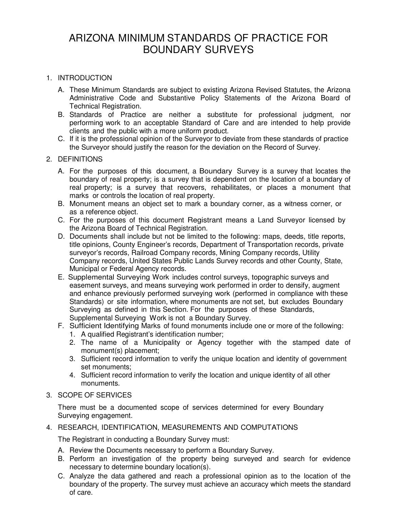# ARIZONA MINIMUM STANDARDS OF PRACTICE FOR BOUNDARY SURVEYS

## 1. INTRODUCTION

- A. These Minimum Standards are subject to existing Arizona Revised Statutes, the Arizona Administrative Code and Substantive Policy Statements of the Arizona Board of Technical Registration.
- B. Standards of Practice are neither a substitute for professional judgment, nor performing work to an acceptable Standard of Care and are intended to help provide clients and the public with a more uniform product.
- C. If it is the professional opinion of the Surveyor to deviate from these standards of practice the Surveyor should justify the reason for the deviation on the Record of Survey.

## 2. DEFINITIONS

- A. For the purposes of this document, a Boundary Survey is a survey that locates the boundary of real property; is a survey that is dependent on the location of a boundary of real property; is a survey that recovers, rehabilitates, or places a monument that marks or controls the location of real property.
- B. Monument means an object set to mark a boundary corner, as a witness corner, or as a reference object.
- C. For the purposes of this document Registrant means a Land Surveyor licensed by the Arizona Board of Technical Registration.
- D. Documents shall include but not be limited to the following: maps, deeds, title reports, title opinions, County Engineer's records, Department of Transportation records, private surveyor's records, Railroad Company records, Mining Company records, Utility Company records, United States Public Lands Survey records and other County, State, Municipal or Federal Agency records.
- E. Supplemental Surveying Work includes control surveys, topographic surveys and easement surveys, and means surveying work performed in order to densify, augment and enhance previously performed surveying work (performed in compliance with these Standards) or site information, where monuments are not set, but excludes Boundary Surveying as defined in this Section. For the purposes of these Standards, Supplemental Surveying Work is not a Boundary Survey.
- F. Sufficient Identifying Marks of found monuments include one or more of the following:
	- 1. A qualified Registrant's identification number;
	- 2. The name of a Municipality or Agency together with the stamped date of monument(s) placement;
	- 3. Sufficient record information to verify the unique location and identity of government set monuments;
	- 4. Sufficient record information to verify the location and unique identity of all other monuments.

## 3. SCOPE OF SERVICES

There must be a documented scope of services determined for every Boundary Surveying engagement.

### 4. RESEARCH, IDENTIFICATION, MEASUREMENTS AND COMPUTATIONS

The Registrant in conducting a Boundary Survey must:

- A. Review the Documents necessary to perform a Boundary Survey.
- B. Perform an investigation of the property being surveyed and search for evidence necessary to determine boundary location(s).
- C. Analyze the data gathered and reach a professional opinion as to the location of the boundary of the property. The survey must achieve an accuracy which meets the standard of care.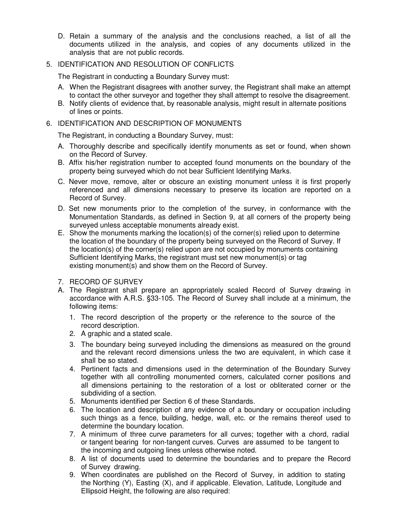D. Retain a summary of the analysis and the conclusions reached, a list of all the documents utilized in the analysis, and copies of any documents utilized in the analysis that are not public records.

## 5. IDENTIFICATION AND RESOLUTION OF CONFLICTS

The Registrant in conducting a Boundary Survey must:

- A. When the Registrant disagrees with another survey, the Registrant shall make an attempt to contact the other surveyor and together they shall attempt to resolve the disagreement.
- B. Notify clients of evidence that, by reasonable analysis, might result in alternate positions of lines or points.

#### 6. IDENTIFICATION AND DESCRIPTION OF MONUMENTS

The Registrant, in conducting a Boundary Survey, must:

- A. Thoroughly describe and specifically identify monuments as set or found, when shown on the Record of Survey.
- B. Affix his/her registration number to accepted found monuments on the boundary of the property being surveyed which do not bear Sufficient Identifying Marks.
- C. Never move, remove, alter or obscure an existing monument unless it is first properly referenced and all dimensions necessary to preserve its location are reported on a Record of Survey.
- D. Set new monuments prior to the completion of the survey, in conformance with the Monumentation Standards, as defined in Section 9, at all corners of the property being surveyed unless acceptable monuments already exist.
- E. Show the monuments marking the location(s) of the corner(s) relied upon to determine the location of the boundary of the property being surveyed on the Record of Survey. If the location(s) of the corner(s) relied upon are not occupied by monuments containing Sufficient Identifying Marks, the registrant must set new monument(s) or tag existing monument(s) and show them on the Record of Survey.
- 7. RECORD OF SURVEY
- A. The Registrant shall prepare an appropriately scaled Record of Survey drawing in accordance with A.R.S. §33-105. The Record of Survey shall include at a minimum, the following items:
	- 1. The record description of the property or the reference to the source of the record description.
	- 2. A graphic and a stated scale.
	- 3. The boundary being surveyed including the dimensions as measured on the ground and the relevant record dimensions unless the two are equivalent, in which case it shall be so stated.
	- 4. Pertinent facts and dimensions used in the determination of the Boundary Survey together with all controlling monumented corners, calculated corner positions and all dimensions pertaining to the restoration of a lost or obliterated corner or the subdividing of a section.
	- 5. Monuments identified per Section 6 of these Standards.
	- 6. The location and description of any evidence of a boundary or occupation including such things as a fence, building, hedge, wall, etc. or the remains thereof used to determine the boundary location.
	- 7. A minimum of three curve parameters for all curves; together with a chord, radial or tangent bearing for non-tangent curves. Curves are assumed to be tangent to the incoming and outgoing lines unless otherwise noted.
	- 8. A list of documents used to determine the boundaries and to prepare the Record of Survey drawing.
	- 9. When coordinates are published on the Record of Survey, in addition to stating the Northing (Y), Easting (X), and if applicable, Elevation, Latitude, Longitude and Ellipsoid Height, the following are also required: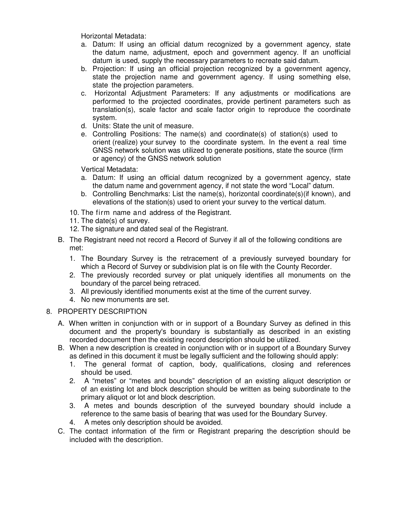Horizontal Metadata:

- a. Datum: If using an official datum recognized by a government agency, state the datum name, adjustment, epoch and government agency. If an unofficial datum is used, supply the necessary parameters to recreate said datum.
- b. Projection: If using an official projection recognized by a government agency, state the projection name and government agency. If using something else, state the projection parameters.
- c. Horizontal Adjustment Parameters: If any adjustments or modifications are performed to the projected coordinates, provide pertinent parameters such as translation(s), scale factor and scale factor origin to reproduce the coordinate system.
- d. Units: State the unit of measure.
- e. Controlling Positions: The name(s) and coordinate(s) of station(s) used to orient (realize) your survey to the coordinate system. In the event a real time GNSS network solution was utilized to generate positions, state the source (firm or agency) of the GNSS network solution

Vertical Metadata:

- a. Datum: If using an official datum recognized by a government agency, state the datum name and government agency, if not state the word "Local" datum.
- b. Controlling Benchmarks: List the name(s), horizontal coordinate(s)(if known), and elevations of the station(s) used to orient your survey to the vertical datum.
- 10. The firm name and address of the Registrant.
- 11. The date(s) of survey.
- 12. The signature and dated seal of the Registrant.
- B. The Registrant need not record a Record of Survey if all of the following conditions are met:
	- 1. The Boundary Survey is the retracement of a previously surveyed boundary for which a Record of Survey or subdivision plat is on file with the County Recorder.
	- 2. The previously recorded survey or plat uniquely identifies all monuments on the boundary of the parcel being retraced.
	- 3. All previously identified monuments exist at the time of the current survey.
	- 4. No new monuments are set.

### 8. PROPERTY DESCRIPTION

- A. When written in conjunction with or in support of a Boundary Survey as defined in this document and the property's boundary is substantially as described in an existing recorded document then the existing record description should be utilized.
- B. When a new description is created in conjunction with or in support of a Boundary Survey as defined in this document it must be legally sufficient and the following should apply:
	- 1. The general format of caption, body, qualifications, closing and references should be used.
	- 2. A "metes" or "metes and bounds" description of an existing aliquot description or of an existing lot and block description should be written as being subordinate to the primary aliquot or lot and block description.
	- 3. A metes and bounds description of the surveyed boundary should include a reference to the same basis of bearing that was used for the Boundary Survey.
	- 4. A metes only description should be avoided.
- C. The contact information of the firm or Registrant preparing the description should be included with the description.